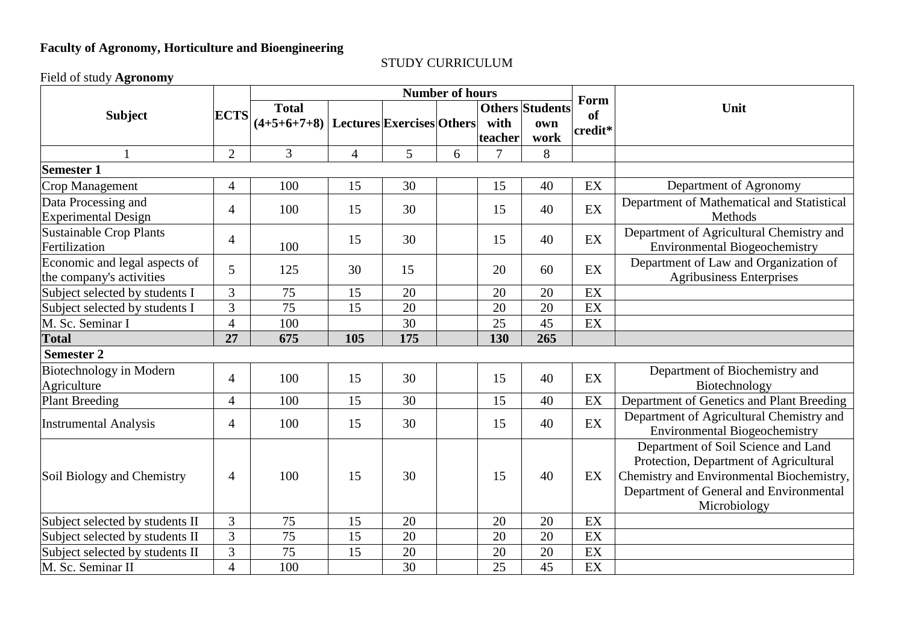## **Faculty of Agronomy, Horticulture and Bioengineering**

## STUDY CURRICULUM

Field of study **Agronomy**

|                                 | <b>ECTS</b>    | <b>Number of hours</b> |                |                           |   |         |                        | Form    |                                            |
|---------------------------------|----------------|------------------------|----------------|---------------------------|---|---------|------------------------|---------|--------------------------------------------|
| <b>Subject</b>                  |                | <b>Total</b>           |                |                           |   |         | <b>Others Students</b> | of      | Unit                                       |
|                                 |                | $(4+5+6+7+8)$          |                | Lectures Exercises Others |   | with    | own                    | credit* |                                            |
|                                 |                |                        |                |                           |   | teacher | work                   |         |                                            |
|                                 | $\overline{2}$ | $\overline{3}$         | $\overline{4}$ | 5                         | 6 | 7       | 8                      |         |                                            |
| <b>Semester 1</b>               |                |                        |                |                           |   |         |                        |         |                                            |
| Crop Management                 | 4              | 100                    | 15             | 30                        |   | 15      | 40                     | EX      | Department of Agronomy                     |
| Data Processing and             | $\overline{4}$ | 100                    | 15             | 30                        |   | 15      | 40                     | EX      | Department of Mathematical and Statistical |
| <b>Experimental Design</b>      |                |                        |                |                           |   |         |                        |         | Methods                                    |
| Sustainable Crop Plants         | 4              |                        | 15             | 30                        |   | 15      | 40                     | EX      | Department of Agricultural Chemistry and   |
| Fertilization                   |                | 100                    |                |                           |   |         |                        |         | <b>Environmental Biogeochemistry</b>       |
| Economic and legal aspects of   | 5              | 125                    | 30             | 15                        |   | 20      | 60                     | EX      | Department of Law and Organization of      |
| the company's activities        |                |                        |                |                           |   |         |                        |         | <b>Agribusiness Enterprises</b>            |
| Subject selected by students I  | 3              | 75                     | 15             | 20                        |   | 20      | 20                     | EX      |                                            |
| Subject selected by students I  | 3              | 75                     | 15             | 20                        |   | 20      | 20                     | EX      |                                            |
| M. Sc. Seminar I                | $\overline{4}$ | 100                    |                | 30                        |   | 25      | 45                     | EX      |                                            |
| <b>Total</b>                    | 27             | 675                    | 105            | 175                       |   | 130     | 265                    |         |                                            |
| <b>Semester 2</b>               |                |                        |                |                           |   |         |                        |         |                                            |
| Biotechnology in Modern         | $\overline{4}$ | 100                    | 15             | 30                        |   | 15      | 40                     | EX      | Department of Biochemistry and             |
| Agriculture                     |                |                        |                |                           |   |         |                        |         | Biotechnology                              |
| Plant Breeding                  | $\overline{4}$ | 100                    | 15             | 30                        |   | 15      | 40                     | EX      | Department of Genetics and Plant Breeding  |
| <b>Instrumental Analysis</b>    | $\overline{4}$ | 100                    | 15             | 30                        |   | 15      | 40                     | EX      | Department of Agricultural Chemistry and   |
|                                 |                |                        |                |                           |   |         |                        |         | <b>Environmental Biogeochemistry</b>       |
|                                 |                |                        |                |                           |   |         |                        |         | Department of Soil Science and Land        |
| Soil Biology and Chemistry      | 4              | 100                    | 15             | 30                        |   | 15      | 40                     | EX      | Protection, Department of Agricultural     |
|                                 |                |                        |                |                           |   |         |                        |         | Chemistry and Environmental Biochemistry,  |
|                                 |                |                        |                |                           |   |         |                        |         | Department of General and Environmental    |
|                                 |                |                        |                |                           |   |         |                        |         | Microbiology                               |
| Subject selected by students II | $\overline{3}$ | 75                     | 15             | 20                        |   | 20      | 20                     | EX      |                                            |
| Subject selected by students II | $\overline{3}$ | 75                     | 15             | 20                        |   | 20      | 20                     | EX      |                                            |
| Subject selected by students II | $\overline{3}$ | 75                     | 15             | 20                        |   | 20      | 20                     | EX      |                                            |
| M. Sc. Seminar II               | $\overline{4}$ | 100                    |                | 30                        |   | 25      | 45                     | EX      |                                            |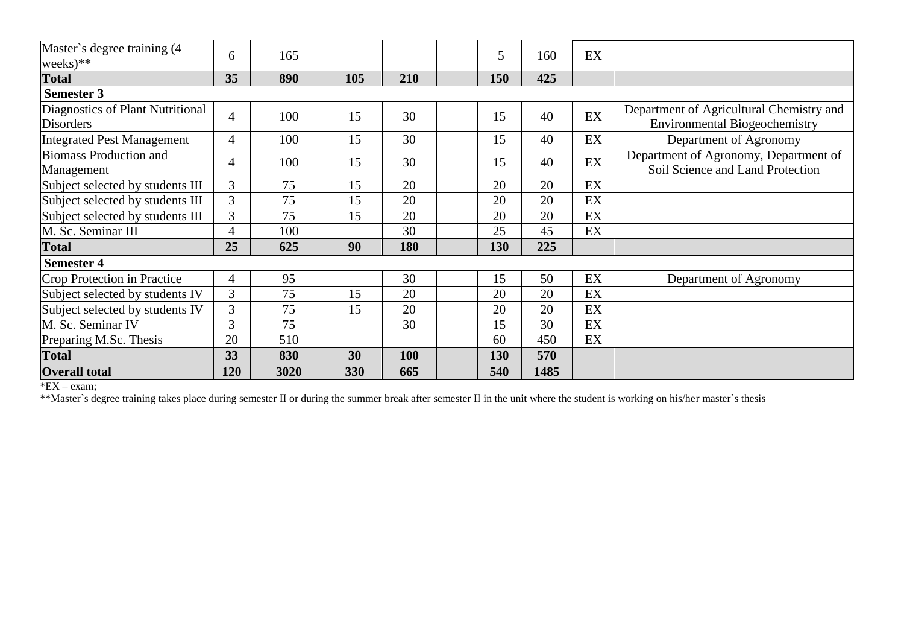| Master's degree training (4)<br>weeks $)$ **         | 6              | 165  |     |     | 5   | 160  | EX |                                                                                  |
|------------------------------------------------------|----------------|------|-----|-----|-----|------|----|----------------------------------------------------------------------------------|
| <b>Total</b>                                         | 35             | 890  | 105 | 210 | 150 | 425  |    |                                                                                  |
| <b>Semester 3</b>                                    |                |      |     |     |     |      |    |                                                                                  |
| Diagnostics of Plant Nutritional<br><b>Disorders</b> | $\overline{4}$ | 100  | 15  | 30  | 15  | 40   | EX | Department of Agricultural Chemistry and<br><b>Environmental Biogeochemistry</b> |
| <b>Integrated Pest Management</b>                    | $\overline{4}$ | 100  | 15  | 30  | 15  | 40   | EX | Department of Agronomy                                                           |
| <b>Biomass Production and</b><br>Management          | 4              | 100  | 15  | 30  | 15  | 40   | EX | Department of Agronomy, Department of<br>Soil Science and Land Protection        |
| Subject selected by students III                     | $\mathfrak{Z}$ | 75   | 15  | 20  | 20  | 20   | EX |                                                                                  |
| Subject selected by students III                     | 3              | 75   | 15  | 20  | 20  | 20   | EX |                                                                                  |
| Subject selected by students III                     | 3              | 75   | 15  | 20  | 20  | 20   | EX |                                                                                  |
| M. Sc. Seminar III                                   | 4              | 100  |     | 30  | 25  | 45   | EX |                                                                                  |
| <b>Total</b>                                         | 25             | 625  | 90  | 180 | 130 | 225  |    |                                                                                  |
| <b>Semester 4</b>                                    |                |      |     |     |     |      |    |                                                                                  |
| Crop Protection in Practice                          | 4              | 95   |     | 30  | 15  | 50   | EX | Department of Agronomy                                                           |
| Subject selected by students IV                      | 3              | 75   | 15  | 20  | 20  | 20   | EX |                                                                                  |
| Subject selected by students IV                      | 3              | 75   | 15  | 20  | 20  | 20   | EX |                                                                                  |
| M. Sc. Seminar IV                                    | 3              | 75   |     | 30  | 15  | 30   | EX |                                                                                  |
| Preparing M.Sc. Thesis                               | 20             | 510  |     |     | 60  | 450  | EX |                                                                                  |
| <b>Total</b>                                         | 33             | 830  | 30  | 100 | 130 | 570  |    |                                                                                  |
| <b>Overall total</b>                                 | 120            | 3020 | 330 | 665 | 540 | 1485 |    |                                                                                  |

\*EX – exam;

\*\*Master`s degree training takes place during semester II or during the summer break after semester II in the unit where the student is working on his/her master`s thesis